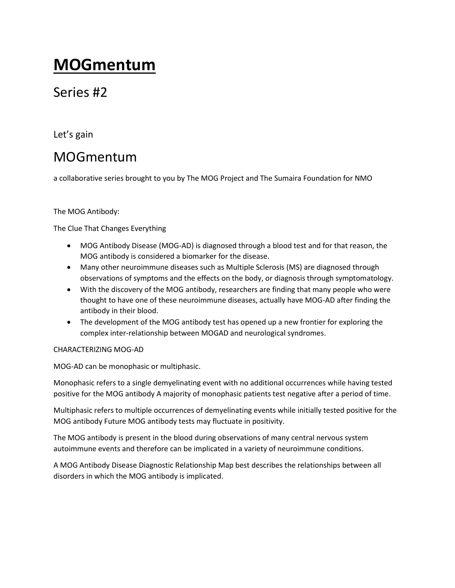# **MOGmentum**

## Series #2

Let's gain

# MOGmentum

a collaborative series brought to you by The MOG Project and The Sumaira Foundation for NMO

### The MOG Antibody:

The Clue That Changes Everything

- MOG Antibody Disease (MOG-AD) is diagnosed through a blood test and for that reason, the MOG antibody is considered a biomarker for the disease.
- Many other neuroimmune diseases such as Multiple Sclerosis (MS) are diagnosed through observations of symptoms and the effects on the body, or diagnosis through symptomatology.
- With the discovery of the MOG antibody, researchers are finding that many people who were thought to have one of these neuroimmune diseases, actually have MOG-AD after finding the antibody in their blood.
- The development of the MOG antibody test has opened up a new frontier for exploring the complex inter-relationship between MOGAD and neurological syndromes.

### CHARACTERIZING MOG-AD

MOG-AD can be monophasic or multiphasic.

Monophasic refers to a single demyelinating event with no additional occurrences while having tested positive for the MOG antibody A majority of monophasic patients test negative after a period of time.

Multiphasic refers to multiple occurrences of demyelinating events while initially tested positive for the MOG antibody Future MOG antibody tests may fluctuate in positivity.

The MOG antibody is present in the blood during observations of many central nervous system autoimmune events and therefore can be implicated in a variety of neuroimmune conditions.

A MOG Antibody Disease Diagnostic Relationship Map best describes the relationships between all disorders in which the MOG antibody is implicated.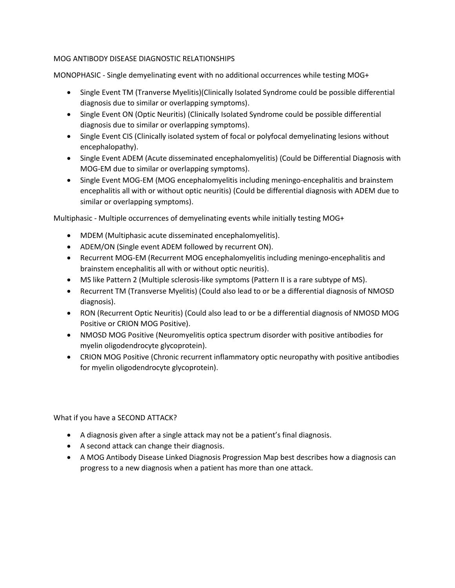### MOG ANTIBODY DISEASE DIAGNOSTIC RELATIONSHIPS

MONOPHASIC - Single demyelinating event with no additional occurrences while testing MOG+

- Single Event TM (Tranverse Myelitis)(Clinically Isolated Syndrome could be possible differential diagnosis due to similar or overlapping symptoms).
- Single Event ON (Optic Neuritis) (Clinically Isolated Syndrome could be possible differential diagnosis due to similar or overlapping symptoms).
- Single Event CIS (Clinically isolated system of focal or polyfocal demyelinating lesions without encephalopathy).
- Single Event ADEM (Acute disseminated encephalomyelitis) (Could be Differential Diagnosis with MOG-EM due to similar or overlapping symptoms).
- Single Event MOG-EM (MOG encephalomyelitis including meningo-encephalitis and brainstem encephalitis all with or without optic neuritis) (Could be differential diagnosis with ADEM due to similar or overlapping symptoms).

Multiphasic - Multiple occurrences of demyelinating events while initially testing MOG+

- MDEM (Multiphasic acute disseminated encephalomyelitis).
- ADEM/ON (Single event ADEM followed by recurrent ON).
- Recurrent MOG-EM (Recurrent MOG encephalomyelitis including meningo-encephalitis and brainstem encephalitis all with or without optic neuritis).
- MS like Pattern 2 (Multiple sclerosis-like symptoms (Pattern II is a rare subtype of MS).
- Recurrent TM (Transverse Myelitis) (Could also lead to or be a differential diagnosis of NMOSD diagnosis).
- RON (Recurrent Optic Neuritis) (Could also lead to or be a differential diagnosis of NMOSD MOG Positive or CRION MOG Positive).
- NMOSD MOG Positive (Neuromyelitis optica spectrum disorder with positive antibodies for myelin oligodendrocyte glycoprotein).
- CRION MOG Positive (Chronic recurrent inflammatory optic neuropathy with positive antibodies for myelin oligodendrocyte glycoprotein).

What if you have a SECOND ATTACK?

- A diagnosis given after a single attack may not be a patient's final diagnosis.
- A second attack can change their diagnosis.
- A MOG Antibody Disease Linked Diagnosis Progression Map best describes how a diagnosis can progress to a new diagnosis when a patient has more than one attack.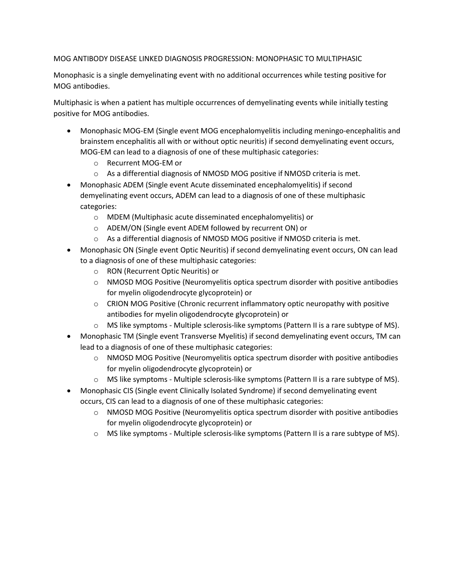#### MOG ANTIBODY DISEASE LINKED DIAGNOSIS PROGRESSION: MONOPHASIC TO MULTIPHASIC

Monophasic is a single demyelinating event with no additional occurrences while testing positive for MOG antibodies.

Multiphasic is when a patient has multiple occurrences of demyelinating events while initially testing positive for MOG antibodies.

- Monophasic MOG-EM (Single event MOG encephalomyelitis including meningo-encephalitis and brainstem encephalitis all with or without optic neuritis) if second demyelinating event occurs, MOG-EM can lead to a diagnosis of one of these multiphasic categories:
	- o Recurrent MOG-EM or
	- $\circ$  As a differential diagnosis of NMOSD MOG positive if NMOSD criteria is met.
- Monophasic ADEM (Single event Acute disseminated encephalomyelitis) if second demyelinating event occurs, ADEM can lead to a diagnosis of one of these multiphasic categories:
	- o MDEM (Multiphasic acute disseminated encephalomyelitis) or
	- o ADEM/ON (Single event ADEM followed by recurrent ON) or
	- $\circ$  As a differential diagnosis of NMOSD MOG positive if NMOSD criteria is met.
- Monophasic ON (Single event Optic Neuritis) if second demyelinating event occurs, ON can lead to a diagnosis of one of these multiphasic categories:
	- o RON (Recurrent Optic Neuritis) or
	- $\circ$  NMOSD MOG Positive (Neuromyelitis optica spectrum disorder with positive antibodies for myelin oligodendrocyte glycoprotein) or
	- $\circ$  CRION MOG Positive (Chronic recurrent inflammatory optic neuropathy with positive antibodies for myelin oligodendrocyte glycoprotein) or
	- o MS like symptoms Multiple sclerosis-like symptoms (Pattern II is a rare subtype of MS).
- Monophasic TM (Single event Transverse Myelitis) if second demyelinating event occurs, TM can lead to a diagnosis of one of these multiphasic categories:
	- $\circ$  NMOSD MOG Positive (Neuromyelitis optica spectrum disorder with positive antibodies for myelin oligodendrocyte glycoprotein) or
	- o MS like symptoms Multiple sclerosis-like symptoms (Pattern II is a rare subtype of MS).
- Monophasic CIS (Single event Clinically Isolated Syndrome) if second demyelinating event occurs, CIS can lead to a diagnosis of one of these multiphasic categories:
	- o NMOSD MOG Positive (Neuromyelitis optica spectrum disorder with positive antibodies for myelin oligodendrocyte glycoprotein) or
	- $\circ$  MS like symptoms Multiple sclerosis-like symptoms (Pattern II is a rare subtype of MS).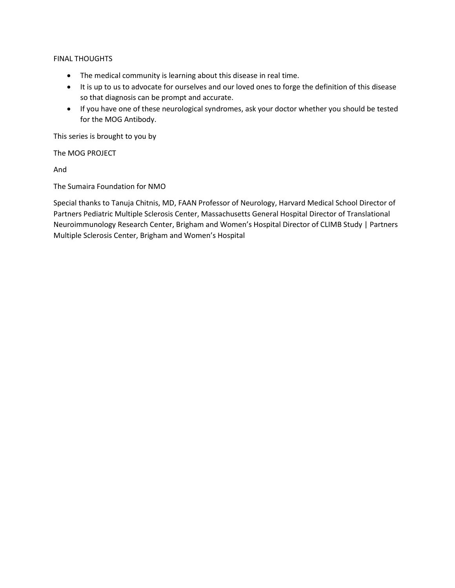#### FINAL THOUGHTS

- The medical community is learning about this disease in real time.
- It is up to us to advocate for ourselves and our loved ones to forge the definition of this disease so that diagnosis can be prompt and accurate.
- If you have one of these neurological syndromes, ask your doctor whether you should be tested for the MOG Antibody.

This series is brought to you by

The MOG PROJECT

And

The Sumaira Foundation for NMO

Special thanks to Tanuja Chitnis, MD, FAAN Professor of Neurology, Harvard Medical School Director of Partners Pediatric Multiple Sclerosis Center, Massachusetts General Hospital Director of Translational Neuroimmunology Research Center, Brigham and Women's Hospital Director of CLIMB Study | Partners Multiple Sclerosis Center, Brigham and Women's Hospital